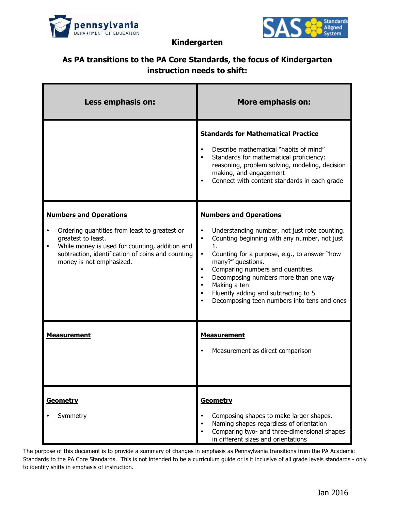



**Kindergarten**

## **As PA transitions to the PA Core Standards, the focus of Kindergarten instruction needs to shift:**

| Less emphasis on:                                                                                                                                                                                                                       | <b>More emphasis on:</b>                                                                                                                                                                                                                                                                                                                                                                       |
|-----------------------------------------------------------------------------------------------------------------------------------------------------------------------------------------------------------------------------------------|------------------------------------------------------------------------------------------------------------------------------------------------------------------------------------------------------------------------------------------------------------------------------------------------------------------------------------------------------------------------------------------------|
|                                                                                                                                                                                                                                         | <b>Standards for Mathematical Practice</b><br>Describe mathematical "habits of mind"<br>Standards for mathematical proficiency:<br>reasoning, problem solving, modeling, decision<br>making, and engagement<br>Connect with content standards in each grade                                                                                                                                    |
| <b>Numbers and Operations</b><br>Ordering quantities from least to greatest or<br>greatest to least.<br>While money is used for counting, addition and<br>subtraction, identification of coins and counting<br>money is not emphasized. | <b>Numbers and Operations</b><br>Understanding number, not just rote counting.<br>Counting beginning with any number, not just<br>1.<br>Counting for a purpose, e.g., to answer "how<br>many?" questions.<br>Comparing numbers and quantities.<br>Decomposing numbers more than one way<br>Making a ten<br>Fluently adding and subtracting to 5<br>Decomposing teen numbers into tens and ones |
| <b>Measurement</b>                                                                                                                                                                                                                      | <b>Measurement</b><br>Measurement as direct comparison                                                                                                                                                                                                                                                                                                                                         |
| Geometry<br>Symmetry                                                                                                                                                                                                                    | Geometry<br>Composing shapes to make larger shapes.<br>Naming shapes regardless of orientation<br>Comparing two- and three-dimensional shapes<br>in different sizes and orientations                                                                                                                                                                                                           |

The purpose of this document is to provide a summary of changes in emphasis as Pennsylvania transitions from the PA Academic Standards to the PA Core Standards. This is not intended to be a curriculum guide or is it inclusive of all grade levels standards - only to identify shifts in emphasis of instruction.